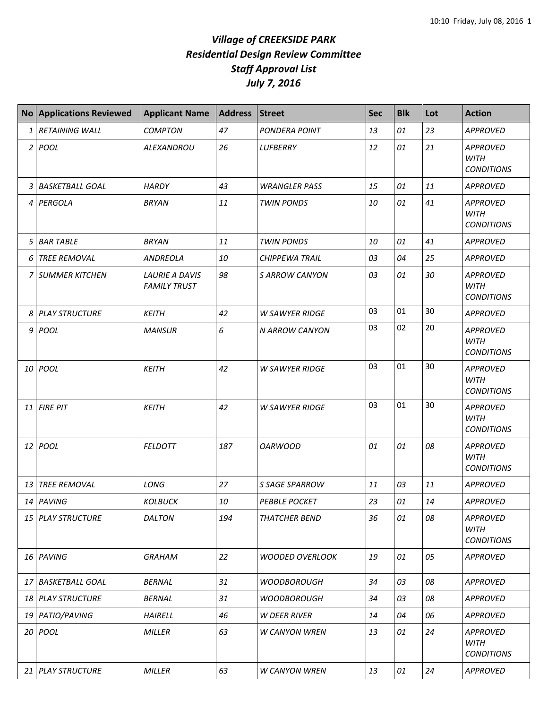|                 | No Applications Reviewed | <b>Applicant Name</b>                        | <b>Address</b> | <b>Street</b>          | <b>Sec</b> | <b>Blk</b> | Lot | <b>Action</b>                                       |
|-----------------|--------------------------|----------------------------------------------|----------------|------------------------|------------|------------|-----|-----------------------------------------------------|
| 1               | <b>RETAINING WALL</b>    | <b>COMPTON</b>                               | 47             | PONDERA POINT          | 13         | 01         | 23  | <b>APPROVED</b>                                     |
| $\overline{2}$  | POOL                     | <b>ALEXANDROU</b>                            | 26             | LUFBERRY               | 12         | 01         | 21  | <b>APPROVED</b><br><b>WITH</b><br><b>CONDITIONS</b> |
| 3               | <b>BASKETBALL GOAL</b>   | <b>HARDY</b>                                 | 43             | <b>WRANGLER PASS</b>   | 15         | 01         | 11  | <b>APPROVED</b>                                     |
| 4               | PERGOLA                  | <b>BRYAN</b>                                 | 11             | <b>TWIN PONDS</b>      | 10         | 01         | 41  | <b>APPROVED</b><br><b>WITH</b><br><b>CONDITIONS</b> |
| 5               | <b>BAR TABLE</b>         | <b>BRYAN</b>                                 | 11             | <b>TWIN PONDS</b>      | 10         | 01         | 41  | <b>APPROVED</b>                                     |
| 6               | <b>TREE REMOVAL</b>      | <b>ANDREOLA</b>                              | 10             | <b>CHIPPEWA TRAIL</b>  | 03         | 04         | 25  | <b>APPROVED</b>                                     |
| 7               | <b>SUMMER KITCHEN</b>    | <b>LAURIE A DAVIS</b><br><b>FAMILY TRUST</b> | 98             | <b>S ARROW CANYON</b>  | 03         | 01         | 30  | <b>APPROVED</b><br><b>WITH</b><br><b>CONDITIONS</b> |
| 8 <sup>1</sup>  | <b>PLAY STRUCTURE</b>    | <b>KEITH</b>                                 | 42             | <b>W SAWYER RIDGE</b>  | 03         | 01         | 30  | APPROVED                                            |
| 9               | POOL                     | <b>MANSUR</b>                                | 6              | N ARROW CANYON         | 03         | 02         | 20  | <b>APPROVED</b><br><b>WITH</b><br><b>CONDITIONS</b> |
| 10              | POOL                     | <b>KEITH</b>                                 | 42             | <b>W SAWYER RIDGE</b>  | 03         | 01         | 30  | <b>APPROVED</b><br><b>WITH</b><br><b>CONDITIONS</b> |
| 11              | <b>FIRE PIT</b>          | <b>KEITH</b>                                 | 42             | <b>W SAWYER RIDGE</b>  | 03         | 01         | 30  | <b>APPROVED</b><br><b>WITH</b><br><b>CONDITIONS</b> |
| 12              | POOL                     | <b>FELDOTT</b>                               | 187            | <b>OARWOOD</b>         | 01         | 01         | 08  | <b>APPROVED</b><br><b>WITH</b><br><b>CONDITIONS</b> |
| 13              | <b>TREE REMOVAL</b>      | LONG                                         | 27             | S SAGE SPARROW         | 11         | 03         | 11  | <b>APPROVED</b>                                     |
|                 | 14 PAVING                | <b>KOLBUCK</b>                               | 10             | <b>PEBBLE POCKET</b>   | 23         | 01         | 14  | APPROVED                                            |
| 15 <sup>1</sup> | <b>PLAY STRUCTURE</b>    | <b>DALTON</b>                                | 194            | <b>THATCHER BEND</b>   | 36         | 01         | 08  | <b>APPROVED</b><br>WITH<br><b>CONDITIONS</b>        |
|                 | 16 PAVING                | <b>GRAHAM</b>                                | 22             | <b>WOODED OVERLOOK</b> | 19         | 01         | 05  | <b>APPROVED</b>                                     |
| 17 I            | <b>BASKETBALL GOAL</b>   | <b>BERNAL</b>                                | 31             | <b>WOODBOROUGH</b>     | 34         | 03         | 08  | <b>APPROVED</b>                                     |
|                 | 18 PLAY STRUCTURE        | <b>BERNAL</b>                                | 31             | <b>WOODBOROUGH</b>     | 34         | 03         | 08  | <b>APPROVED</b>                                     |
| 19              | PATIO/PAVING             | <b>HAIRELL</b>                               | 46             | <b>W DEER RIVER</b>    | 14         | 04         | 06  | <b>APPROVED</b>                                     |
|                 | 20 <i>POOL</i>           | MILLER                                       | 63             | <b>W CANYON WREN</b>   | 13         | 01         | 24  | APPROVED<br>WITH<br><b>CONDITIONS</b>               |
|                 | 21 PLAY STRUCTURE        | MILLER                                       | 63             | <b>W CANYON WREN</b>   | 13         | 01         | 24  | APPROVED                                            |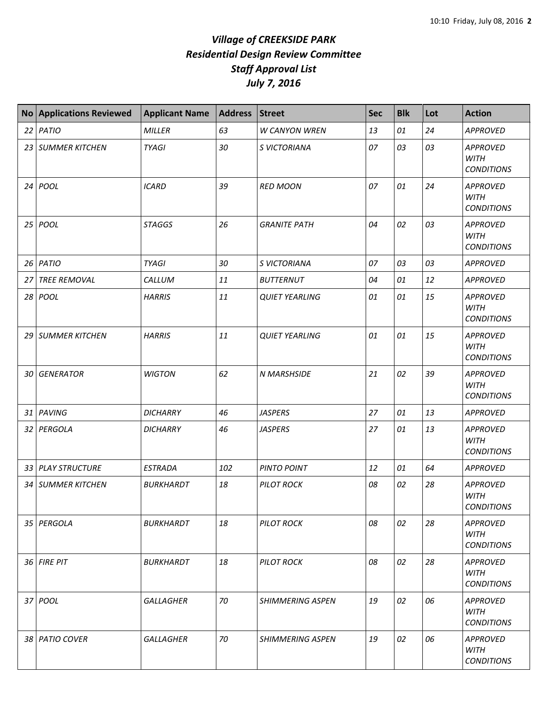|    | <b>No Applications Reviewed</b> | <b>Applicant Name</b> | <b>Address</b> | <b>Street</b>           | <b>Sec</b> | <b>Blk</b> | Lot | <b>Action</b>                                       |
|----|---------------------------------|-----------------------|----------------|-------------------------|------------|------------|-----|-----------------------------------------------------|
|    | 22 PATIO                        | <b>MILLER</b>         | 63             | <b>W CANYON WREN</b>    | 13         | 01         | 24  | APPROVED                                            |
|    | 23 SUMMER KITCHEN               | <b>TYAGI</b>          | 30             | S VICTORIANA            | 07         | 03         | 03  | <b>APPROVED</b><br><b>WITH</b><br><b>CONDITIONS</b> |
| 24 | POOL                            | <b>ICARD</b>          | 39             | <b>RED MOON</b>         | 07         | 01         | 24  | <b>APPROVED</b><br><b>WITH</b><br><b>CONDITIONS</b> |
|    | 25 POOL                         | <b>STAGGS</b>         | 26             | <b>GRANITE PATH</b>     | 04         | 02         | 03  | APPROVED<br><b>WITH</b><br><b>CONDITIONS</b>        |
|    | $26$ PATIO                      | <b>TYAGI</b>          | 30             | S VICTORIANA            | 07         | 03         | 03  | <b>APPROVED</b>                                     |
| 27 | <b>TREE REMOVAL</b>             | CALLUM                | 11             | <b>BUTTERNUT</b>        | 04         | 01         | 12  | <b>APPROVED</b>                                     |
|    | 28 POOL                         | <b>HARRIS</b>         | 11             | <b>QUIET YEARLING</b>   | 01         | 01         | 15  | <b>APPROVED</b><br><b>WITH</b><br><b>CONDITIONS</b> |
|    | 29 SUMMER KITCHEN               | <b>HARRIS</b>         | 11             | <b>QUIET YEARLING</b>   | 01         | 01         | 15  | <b>APPROVED</b><br><b>WITH</b><br><b>CONDITIONS</b> |
| 30 | <b>GENERATOR</b>                | <b>WIGTON</b>         | 62             | <b>N MARSHSIDE</b>      | 21         | 02         | 39  | <b>APPROVED</b><br><b>WITH</b><br><b>CONDITIONS</b> |
|    | 31 PAVING                       | <b>DICHARRY</b>       | 46             | <b>JASPERS</b>          | 27         | 01         | 13  | APPROVED                                            |
|    | 32 PERGOLA                      | <b>DICHARRY</b>       | 46             | <b>JASPERS</b>          | 27         | 01         | 13  | <b>APPROVED</b><br><b>WITH</b><br><b>CONDITIONS</b> |
|    | 33 PLAY STRUCTURE               | <b>ESTRADA</b>        | 102            | PINTO POINT             | 12         | 01         | 64  | APPROVED                                            |
|    | 34   SUMMER KITCHEN             | <b>BURKHARDT</b>      | 18             | <b>PILOT ROCK</b>       | 08         | 02         | 28  | <b>APPROVED</b><br><b>WITH</b><br><b>CONDITIONS</b> |
|    | 35 PERGOLA                      | <b>BURKHARDT</b>      | 18             | <b>PILOT ROCK</b>       | 08         | 02         | 28  | <b>APPROVED</b><br><b>WITH</b><br><b>CONDITIONS</b> |
|    | 36 FIRE PIT                     | <i>BURKHARDT</i>      | 18             | <b>PILOT ROCK</b>       | 08         | 02         | 28  | <b>APPROVED</b><br><b>WITH</b><br><b>CONDITIONS</b> |
|    | 37 POOL                         | <b>GALLAGHER</b>      | 70             | <b>SHIMMERING ASPEN</b> | 19         | 02         | 06  | <b>APPROVED</b><br><b>WITH</b><br><b>CONDITIONS</b> |
| 38 | <b>PATIO COVER</b>              | <b>GALLAGHER</b>      | 70             | <b>SHIMMERING ASPEN</b> | 19         | 02         | 06  | <b>APPROVED</b><br><b>WITH</b><br><b>CONDITIONS</b> |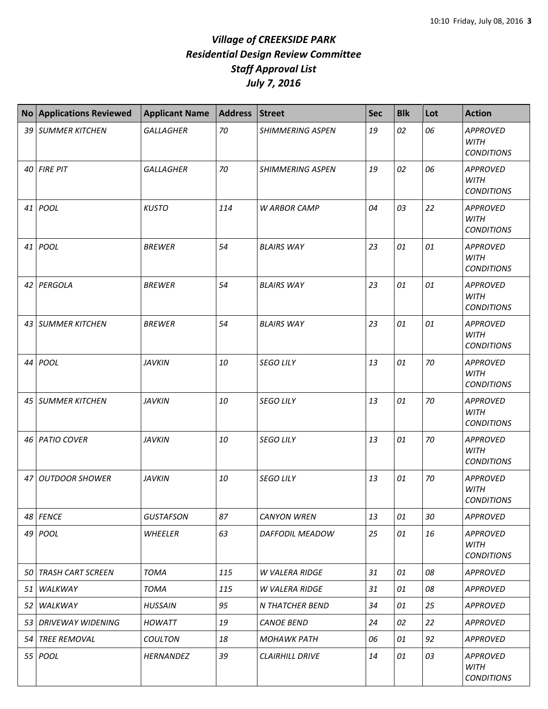|    | <b>No Applications Reviewed</b> | <b>Applicant Name</b> | <b>Address</b> | <b>Street</b>           | <b>Sec</b> | <b>Blk</b> | Lot | <b>Action</b>                                       |
|----|---------------------------------|-----------------------|----------------|-------------------------|------------|------------|-----|-----------------------------------------------------|
|    | 39 SUMMER KITCHEN               | <b>GALLAGHER</b>      | 70             | <b>SHIMMERING ASPEN</b> | 19         | 02         | 06  | <b>APPROVED</b><br><b>WITH</b><br><b>CONDITIONS</b> |
| 40 | <b>FIRE PIT</b>                 | <b>GALLAGHER</b>      | 70             | <b>SHIMMERING ASPEN</b> | 19         | 02         | 06  | <b>APPROVED</b><br><b>WITH</b><br><b>CONDITIONS</b> |
|    | 41 POOL                         | <b>KUSTO</b>          | 114            | <b>W ARBOR CAMP</b>     | 04         | 03         | 22  | <b>APPROVED</b><br><b>WITH</b><br><b>CONDITIONS</b> |
| 41 | POOL                            | <b>BREWER</b>         | 54             | <b>BLAIRS WAY</b>       | 23         | 01         | 01  | APPROVED<br><b>WITH</b><br><b>CONDITIONS</b>        |
|    | 42 PERGOLA                      | <b>BREWER</b>         | 54             | <b>BLAIRS WAY</b>       | 23         | 01         | 01  | <b>APPROVED</b><br><b>WITH</b><br><b>CONDITIONS</b> |
|    | 43   SUMMER KITCHEN             | <b>BREWER</b>         | 54             | <b>BLAIRS WAY</b>       | 23         | 01         | 01  | <b>APPROVED</b><br><b>WITH</b><br><b>CONDITIONS</b> |
|    | 44 POOL                         | <b>JAVKIN</b>         | 10             | <b>SEGO LILY</b>        | 13         | 01         | 70  | <b>APPROVED</b><br><b>WITH</b><br><b>CONDITIONS</b> |
|    | 45   SUMMER KITCHEN             | <b>JAVKIN</b>         | 10             | <b>SEGO LILY</b>        | 13         | 01         | 70  | <b>APPROVED</b><br><b>WITH</b><br><b>CONDITIONS</b> |
|    | 46 PATIO COVER                  | <b>JAVKIN</b>         | 10             | <b>SEGO LILY</b>        | 13         | 01         | 70  | <b>APPROVED</b><br><b>WITH</b><br><b>CONDITIONS</b> |
| 47 | <b>OUTDOOR SHOWER</b>           | <b>JAVKIN</b>         | 10             | <b>SEGO LILY</b>        | 13         | 01         | 70  | <b>APPROVED</b><br><b>WITH</b><br><b>CONDITIONS</b> |
|    | 48 FENCE                        | <b>GUSTAFSON</b>      | 87             | <b>CANYON WREN</b>      | 13         | 01         | 30  | <b>APPROVED</b>                                     |
|    | 49 POOL                         | WHEELER               | 63             | DAFFODIL MEADOW         | 25         | 01         | 16  | <b>APPROVED</b><br>WITH<br><b>CONDITIONS</b>        |
| 50 | <b>TRASH CART SCREEN</b>        | <b>TOMA</b>           | 115            | <b>W VALERA RIDGE</b>   | 31         | 01         | 08  | <b>APPROVED</b>                                     |
| 51 | WALKWAY                         | <b>TOMA</b>           | 115            | <b>W VALERA RIDGE</b>   | 31         | 01         | 08  | <b>APPROVED</b>                                     |
| 52 | WALKWAY                         | <b>HUSSAIN</b>        | 95             | N THATCHER BEND         | 34         | 01         | 25  | <b>APPROVED</b>                                     |
|    | 53 DRIVEWAY WIDENING            | <b>HOWATT</b>         | 19             | <b>CANOE BEND</b>       | 24         | 02         | 22  | <b>APPROVED</b>                                     |
|    | 54 TREE REMOVAL                 | <b>COULTON</b>        | 18             | <b>MOHAWK PATH</b>      | 06         | 01         | 92  | <b>APPROVED</b>                                     |
|    | 55 <i>POOL</i>                  | HERNANDEZ             | 39             | <b>CLAIRHILL DRIVE</b>  | 14         | 01         | 03  | <b>APPROVED</b><br><b>WITH</b><br><b>CONDITIONS</b> |